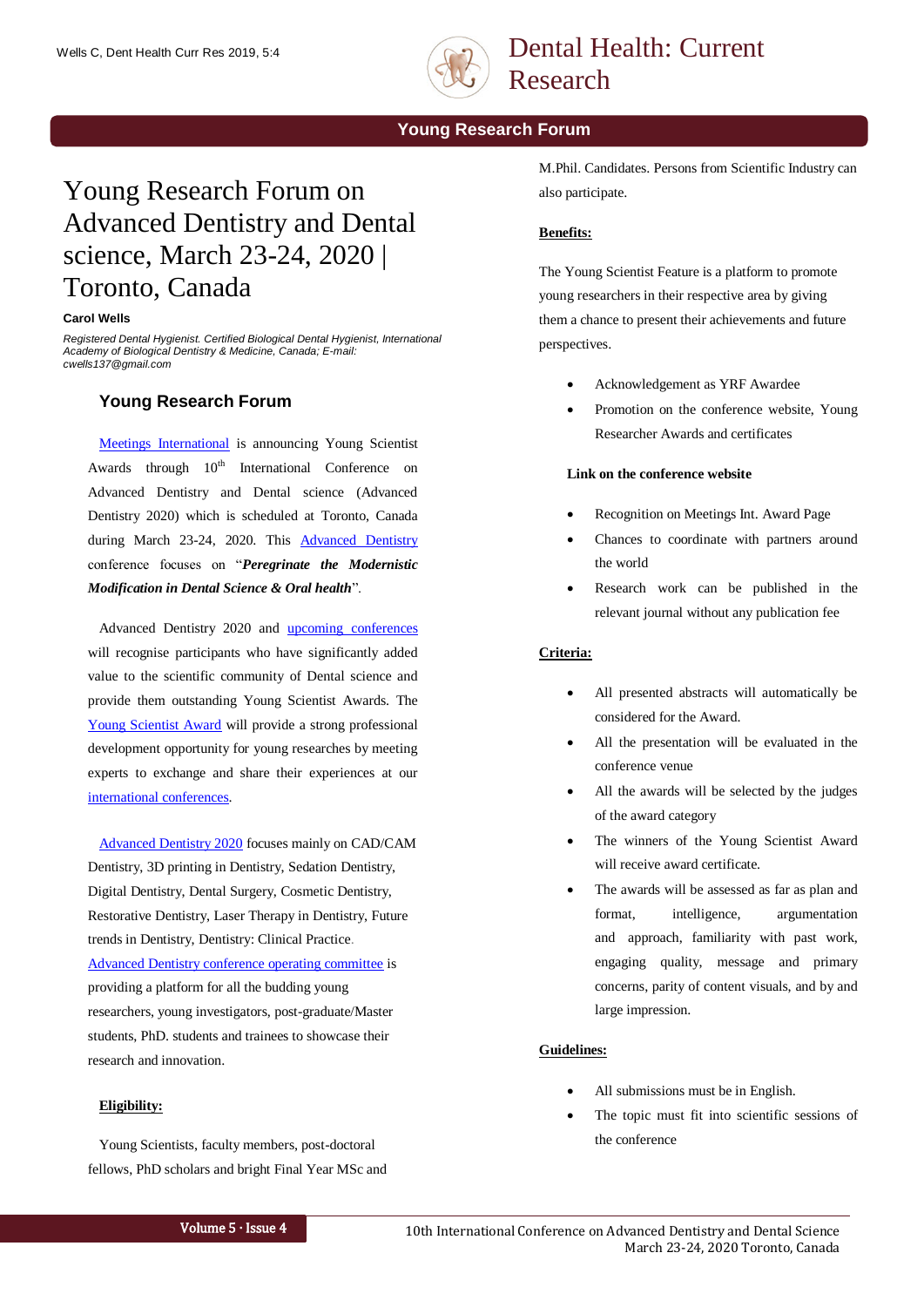

## Dental Health: Current Research

**Young Research Forum**

# Young Research Forum on Advanced Dentistry and Dental science, March 23-24, 2020 | Toronto, Canada

#### **Carol Wells**

*Registered Dental Hygienist. Certified Biological Dental Hygienist, International Academy of Biological Dentistry & Medicine, Canada; E-mail: cwells137@gmail.com*

## **Young Research Forum**

[Meetings International](https://www.meetingsint.com/) is announcing Young Scientist Awards through  $10<sup>th</sup>$  International Conference on Advanced Dentistry and Dental science (Advanced Dentistry 2020) which is scheduled at Toronto, Canada during March 23-24, 2020. This [Advanced Dentistry](https://www.americanmeetings.net/conferences/advanceddentistry) conference focuses on "*Peregrinate the Modernistic Modification in Dental Science & Oral health*".

Advanced Dentistry 2020 and [upcoming conferences](https://www.meetingsint.com/upcoming-conferences) will recognise participants who have significantly added value to the scientific community of Dental science and provide them outstanding Young Scientist Awards. The [Young Scientist Award](https://www.americanmeetings.net/conferences/advanceddentistry/conference-young-scientist-award) will provide a strong professional development opportunity for young researches by meeting experts to exchange and share their experiences at our [international conferences.](https://www.meetingsint.com/)

[Advanced Dentistry 2020](https://www.americanmeetings.net/conferences/advanceddentistry) focuses mainly on CAD/CAM Dentistry, 3D printing in Dentistry, Sedation Dentistry, Digital Dentistry, Dental Surgery, Cosmetic Dentistry, Restorative Dentistry, Laser Therapy in Dentistry, Future trends in Dentistry, Dentistry: Clinical Practice. [Advanced Dentistry conference operating committee](https://www.americanmeetings.net/conferences/advanceddentistry/ocm) is providing a platform for all the budding young researchers, young investigators, post-graduate/Master students, PhD. students and trainees to showcase their research and innovation.

#### **Eligibility:**

Young Scientists, faculty members, post-doctoral fellows, PhD scholars and bright Final Year MSc and M.Phil. Candidates. Persons from Scientific Industry can also participate.

## **Benefits:**

The Young Scientist Feature is a platform to promote young researchers in their respective area by giving them a chance to present their achievements and future perspectives.

- Acknowledgement as YRF Awardee
- Promotion on the conference website, Young Researcher Awards and certificates

#### **Link on the conference website**

- Recognition on Meetings Int. Award Page
- Chances to coordinate with partners around the world
- Research work can be published in the relevant journal without any publication fee

## **Criteria:**

- All presented abstracts will automatically be considered for the Award.
- All the presentation will be evaluated in the conference venue
- All the awards will be selected by the judges of the award category
- The winners of the Young Scientist Award will receive award certificate.
- The awards will be assessed as far as plan and format, intelligence, argumentation and approach, familiarity with past work, engaging quality, message and primary concerns, parity of content visuals, and by and large impression.

#### **Guidelines:**

- All submissions must be in English.
- The topic must fit into scientific sessions of the conference